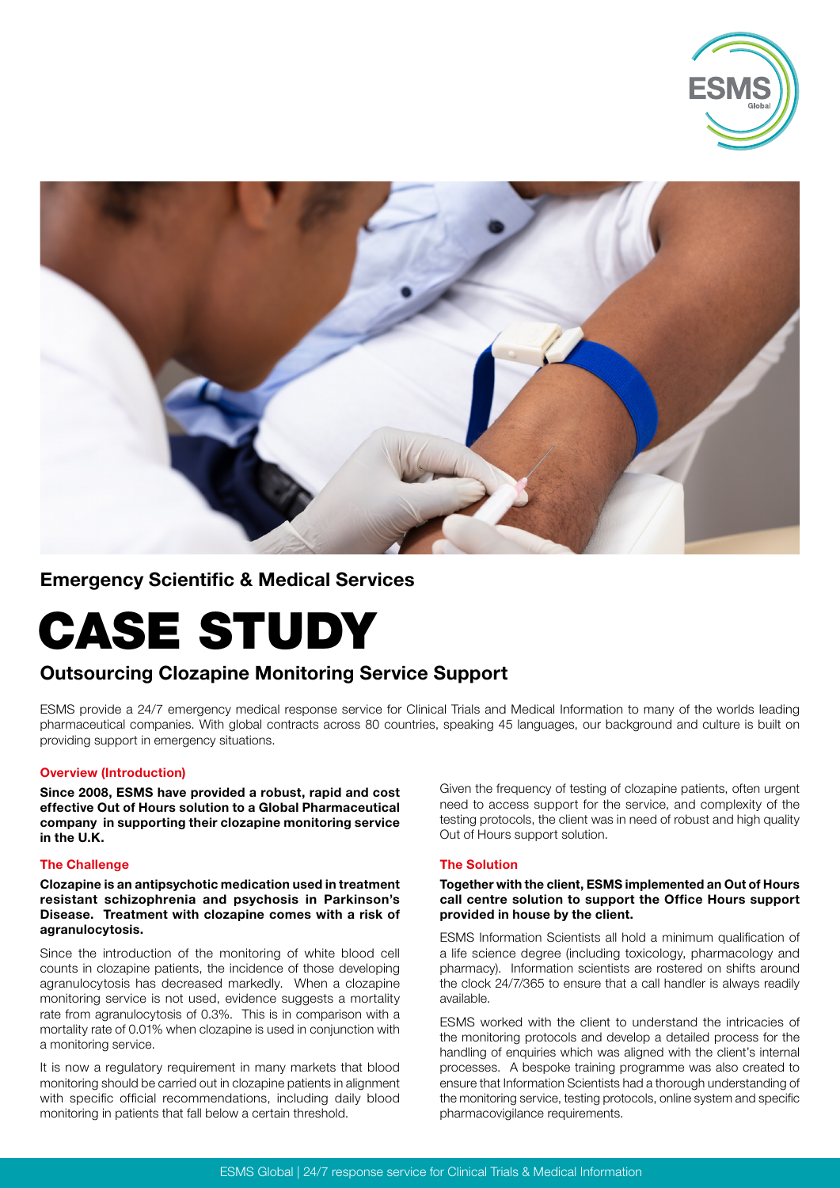



## Emergency Scientific & Medical Services

# CASE STUDY

# Outsourcing Clozapine Monitoring Service Support

ESMS provide a 24/7 emergency medical response service for Clinical Trials and Medical Information to many of the worlds leading pharmaceutical companies. With global contracts across 80 countries, speaking 45 languages, our background and culture is built on providing support in emergency situations.

### Overview (Introduction)

Since 2008, ESMS have provided a robust, rapid and cost effective Out of Hours solution to a Global Pharmaceutical company in supporting their clozapine monitoring service in the U.K.

#### The Challenge

Clozapine is an antipsychotic medication used in treatment resistant schizophrenia and psychosis in Parkinson's Disease. Treatment with clozapine comes with a risk of agranulocytosis.

Since the introduction of the monitoring of white blood cell counts in clozapine patients, the incidence of those developing agranulocytosis has decreased markedly. When a clozapine monitoring service is not used, evidence suggests a mortality rate from agranulocytosis of 0.3%. This is in comparison with a mortality rate of 0.01% when clozapine is used in conjunction with a monitoring service.

It is now a regulatory requirement in many markets that blood monitoring should be carried out in clozapine patients in alignment with specific official recommendations, including daily blood monitoring in patients that fall below a certain threshold.

Given the frequency of testing of clozapine patients, often urgent need to access support for the service, and complexity of the testing protocols, the client was in need of robust and high quality Out of Hours support solution.

#### The Solution

#### Together with the client, ESMS implemented an Out of Hours call centre solution to support the Office Hours support provided in house by the client.

ESMS Information Scientists all hold a minimum qualification of a life science degree (including toxicology, pharmacology and pharmacy). Information scientists are rostered on shifts around the clock 24/7/365 to ensure that a call handler is always readily available.

ESMS worked with the client to understand the intricacies of the monitoring protocols and develop a detailed process for the handling of enquiries which was aligned with the client's internal processes. A bespoke training programme was also created to ensure that Information Scientists had a thorough understanding of the monitoring service, testing protocols, online system and specific pharmacovigilance requirements.